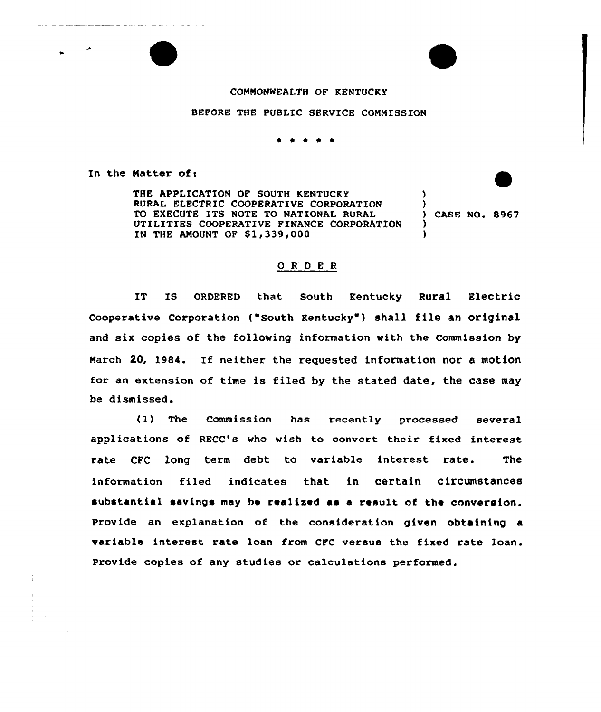## COMMONWEALTH OF KENTUCKY

## BEFORE THE PUBLIC SERVICE COMMISSION

## \* \* \* \*

In the Matter of:

الدينيات الراعبي السدار السدي

المارين

THE APPLICATION OF SOUTH KENTUCKY RURAL ELECTRIC COOPERATIVE CORPORATION TO EXECUTE ITS NOTE TO NATIONAL RURAL UTILITIES COOPERATIVE FINANCE CORPORATION IN THE AMOUNT OF  $$1,339,000$ ) ) ) CASE NO. 8967 ) )

## 0 <sup>R</sup> <sup>D</sup> E <sup>R</sup>

IT IS ORDERED that South Kentucky Rural Electric Cooperative Corporation ("South Kentucky" ) shall file an original and six copies of the following information with the Commission by March 20, 1984. If neither the requested information nor <sup>a</sup> motion for an extension of time is filed by the stated date, the case may be dismissed.

(1) The Commission has recently processed several applications of RECC's who wish to convert their fixed interest rate CPC long term debt to variable interest rate. The information filed indicates that in certain circumstances substantial savings may be realised as a result of the conversion. Provide an explanation of the consideration given obtaining a variable interest rate loan from CFC versus the fixed rate loan. Provide copies of any studies or calculations performed.